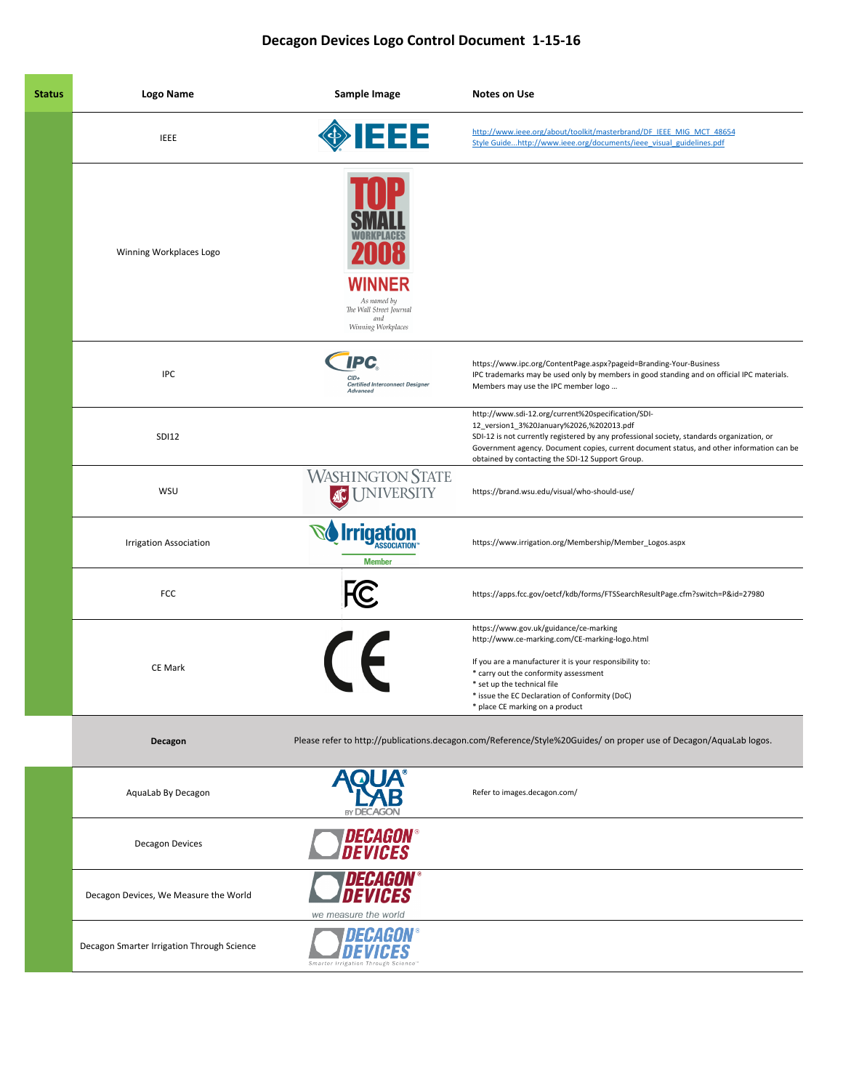## Decagon Devices Logo Control Document 1-15-16

| <b>Status</b> | Logo Name                                  | Sample Image                                                                         | <b>Notes on Use</b>                                                                                                                                                                                                                                                                                                                           |
|---------------|--------------------------------------------|--------------------------------------------------------------------------------------|-----------------------------------------------------------------------------------------------------------------------------------------------------------------------------------------------------------------------------------------------------------------------------------------------------------------------------------------------|
|               | <b>IEEE</b>                                | <b>OFFER</b>                                                                         | http://www.ieee.org/about/toolkit/masterbrand/DF IEEE MIG MCT 48654<br>Style Guidehttp://www.ieee.org/documents/ieee_visual_guidelines.pdf                                                                                                                                                                                                    |
|               | Winning Workplaces Logo                    | <b>WINNER</b><br>As named by<br>The Wall Street Journal<br>and<br>Winning Workplaces |                                                                                                                                                                                                                                                                                                                                               |
|               | <b>IPC</b>                                 | <b>IPC</b><br>$CID +$<br><b>Certified Interconnect Designer</b><br>Advanced          | https://www.ipc.org/ContentPage.aspx?pageid=Branding-Your-Business<br>IPC trademarks may be used only by members in good standing and on official IPC materials.<br>Members may use the IPC member logo                                                                                                                                       |
|               | <b>SDI12</b>                               |                                                                                      | http://www.sdi-12.org/current%20specification/SDI-<br>12_version1_3%20January%2026,%202013.pdf<br>SDI-12 is not currently registered by any professional society, standards organization, or<br>Government agency. Document copies, current document status, and other information can be<br>obtained by contacting the SDI-12 Support Group. |
|               | WSU                                        | <b>WASHINGTON STATE</b><br><b>I JNIVERSITY</b>                                       | https://brand.wsu.edu/visual/who-should-use/                                                                                                                                                                                                                                                                                                  |
|               | <b>Irrigation Association</b>              | <b>Irrigation</b><br><b>Member</b>                                                   | https://www.irrigation.org/Membership/Member_Logos.aspx                                                                                                                                                                                                                                                                                       |
|               | FCC                                        | <b>FC</b>                                                                            | https://apps.fcc.gov/oetcf/kdb/forms/FTSSearchResultPage.cfm?switch=P&id=27980                                                                                                                                                                                                                                                                |
|               | <b>CE Mark</b>                             | $\epsilon$                                                                           | https://www.gov.uk/guidance/ce-marking<br>http://www.ce-marking.com/CE-marking-logo.html<br>If you are a manufacturer it is your responsibility to:<br>* carry out the conformity assessment<br>* set up the technical file<br>* issue the EC Declaration of Conformity (DoC)<br>* place CE marking on a product                              |
|               | Decagon                                    |                                                                                      | Please refer to http://publications.decagon.com/Reference/Style%20Guides/ on proper use of Decagon/AquaLab logos.                                                                                                                                                                                                                             |
|               | AquaLab By Decagon                         | <b>BY DECAGOI</b>                                                                    | Refer to images.decagon.com/                                                                                                                                                                                                                                                                                                                  |
|               | <b>Decagon Devices</b>                     | <b>DECAGON®</b><br><i><b>DEVICES</b></i>                                             |                                                                                                                                                                                                                                                                                                                                               |
|               | Decagon Devices, We Measure the World      | <i><b>DECAGON</b></i><br>EVIHES<br>we measure the world                              |                                                                                                                                                                                                                                                                                                                                               |
|               | Decagon Smarter Irrigation Through Science | Smarter Irrigation Through                                                           |                                                                                                                                                                                                                                                                                                                                               |